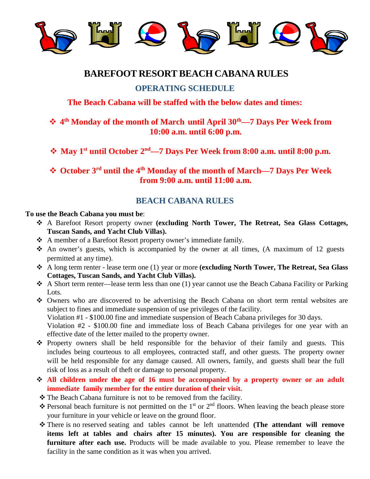

## **BAREFOOT RESORT BEACH CABANA RULES**

## **OPERATING SCHEDULE**

## **The Beach Cabana will be staffed with the below dates and times:**

## **4th Monday of the month of March until April 30th—7 Days Per Week from 10:00 a.m. until 6:00 p.m.**

**May 1st until October 2nd—7 Days Per Week from 8:00 a.m. until 8:00 p.m.**

 **October 3rd until the 4th Monday of the month of March—7 Days Per Week from 9:00 a.m. until 11:00 a.m.**

## **BEACH CABANA RULES**

#### **To use the Beach Cabana you must be**:

- A Barefoot Resort property owner **(excluding North Tower, The Retreat, Sea Glass Cottages, Tuscan Sands, and Yacht Club Villas).**
- A member of a Barefoot Resort property owner's immediate family.
- An owner's guests, which is accompanied by the owner at all times, (A maximum of 12 guests permitted at any time).
- A long term renter lease term one (1) year or more **(excluding North Tower, The Retreat, Sea Glass Cottages, Tuscan Sands, and Yacht Club Villas).**
- $\triangle$  A Short term renter—lease term less than one (1) year cannot use the Beach Cabana Facility or Parking Lots.

 Owners who are discovered to be advertising the Beach Cabana on short term rental websites are subject to fines and immediate suspension of use privileges of the facility.

Violation #1 - \$100.00 fine and immediate suspension of Beach Cabana privileges for 30 days.

Violation #2 - \$100.00 fine and immediate loss of Beach Cabana privileges for one year with an effective date of the letter mailed to the property owner.

- \* Property owners shall be held responsible for the behavior of their family and guests. This includes being courteous to all employees, contracted staff, and other guests. The property owner will be held responsible for any damage caused. All owners, family, and guests shall bear the full risk of loss as a result of theft or damage to personal property.
- **All children under the age of 16 must be accompanied by a property owner or an adult immediate family member for the entire duration of their visit.**
- \* The Beach Cabana furniture is not to be removed from the facility.
- $\triangle$  Personal beach furniture is not permitted on the 1<sup>st</sup> or 2<sup>nd</sup> floors. When leaving the beach please store your furniture in your vehicle or leave on the ground floor.
- There is no reserved seating and tables cannot be left unattended **(The attendant will remove items left at tables and chairs after 15 minutes). You are responsible for cleaning the**  furniture after each use. Products will be made available to you. Please remember to leave the facility in the same condition as it was when you arrived.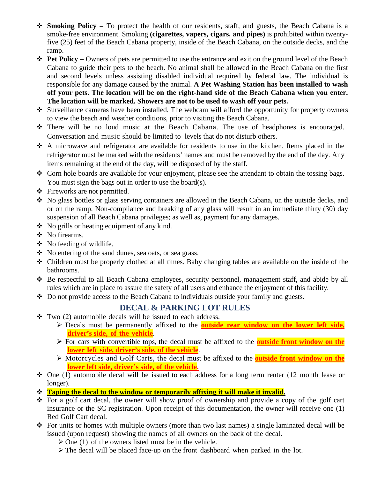- **Smoking Policy –** To protect the health of our residents, staff, and guests, the Beach Cabana is a smoke-free environment. Smoking **(cigarettes, vapers, cigars, and pipes)** is prohibited within twentyfive (25) feet of the Beach Cabana property, inside of the Beach Cabana, on the outside decks, and the ramp.
- **◆ Pet Policy** Owners of pets are permitted to use the entrance and exit on the ground level of the Beach Cabana to guide their pets to the beach. No animal shall be allowed in the Beach Cabana on the first and second levels unless assisting disabled individual required by federal law. The individual is responsible for any damage caused by the animal. **A Pet Washing Station has been installed to wash off your pets. The location will be on the right-hand side of the Beach Cabana when you enter. The location will be marked. Showers are not to be used to wash off your pets.**
- Surveillance cameras have been installed. The webcam will afford the opportunity for property owners to view the beach and weather conditions, prior to visiting the Beach Cabana.
- There will be no loud music at the Beach Cabana. The use of headphones is encouraged. Conversation and music should be limited to levels that do not disturb others.
- A microwave and refrigerator are available for residents to use in the kitchen. Items placed in the refrigerator must be marked with the residents' names and must be removed by the end of the day. Any items remaining at the end of the day, will be disposed of by the staff.
- Corn hole boards are available for your enjoyment, please see the attendant to obtain the tossing bags. You must sign the bags out in order to use the board(s).
- Fireworks are not permitted.
- No glass bottles or glass serving containers are allowed in the Beach Cabana, on the outside decks, and or on the ramp. Non-compliance and breaking of any glass will result in an immediate thirty (30) day suspension of all Beach Cabana privileges; as well as, payment for any damages.
- $\bullet$  No grills or heating equipment of any kind.
- No firearms.
- $\triangleleft$  No feeding of wildlife.
- $\bullet$  No entering of the sand dunes, sea oats, or sea grass.
- Children must be properly clothed at all times. Baby changing tables are available on the inside of the bathrooms.
- Be respectful to all Beach Cabana employees, security personnel, management staff, and abide by all rules which are in place to assure the safety of all users and enhance the enjoyment of this facility.
- Do not provide access to the Beach Cabana to individuals outside your family and guests.

### **DECAL & PARKING LOT RULES**

- $\div$  Two (2) automobile decals will be issued to each address.
	- Decals must be permanently affixed to the **outside rear window on the lower left side, driver's side, of the vehicle**.
	- For cars with convertible tops, the decal must be affixed to the **outside front window on the lower left side, driver's side, of the vehicle**.
	- Motorcycles and Golf Carts, the decal must be affixed to the **outside front window on the lower left side, driver's side, of the vehicle.**
- $\div$  One (1) automobile decal will be issued to each address for a long term renter (12 month lease or longer).
- **Taping the decal to the window or temporarily affixing it will make it invalid.**
- For a golf cart decal, the owner will show proof of ownership and provide a copy of the golf cart insurance or the SC registration. Upon receipt of this documentation, the owner will receive one (1) Red Golf Cart decal.
- $\div$  For units or homes with multiple owners (more than two last names) a single laminated decal will be issued (upon request) showing the names of all owners on the back of the decal.
	- $\triangleright$  One (1) of the owners listed must be in the vehicle.
	- $\triangleright$  The decal will be placed face-up on the front dashboard when parked in the lot.